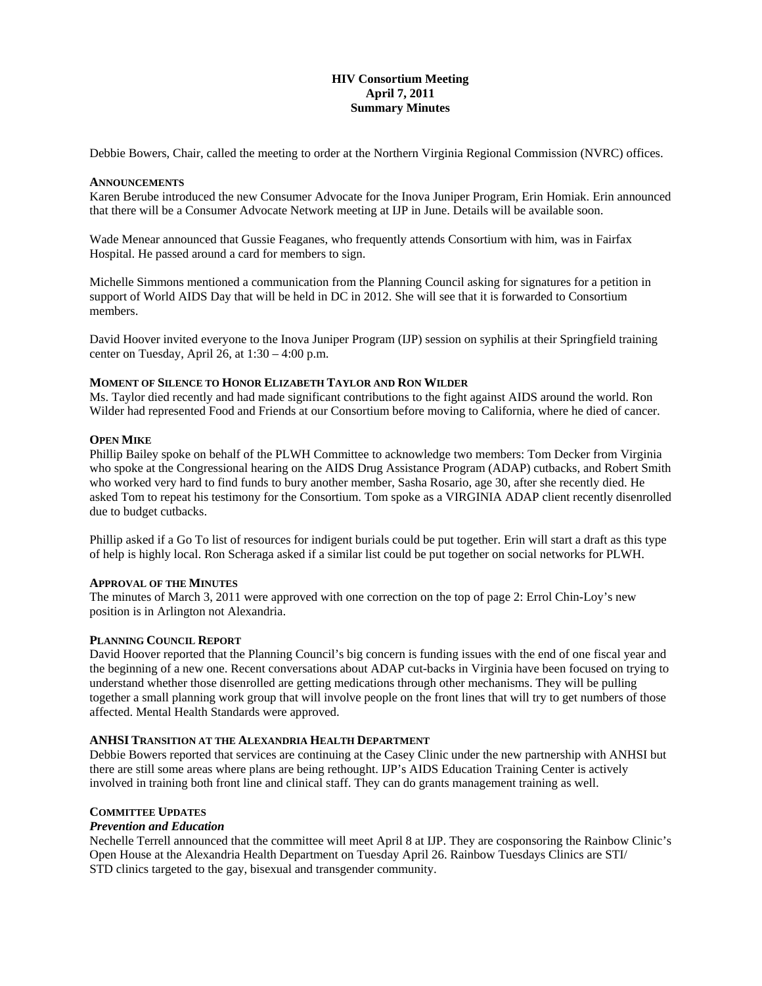# **HIV Consortium Meeting April 7, 2011 Summary Minutes**

Debbie Bowers, Chair, called the meeting to order at the Northern Virginia Regional Commission (NVRC) offices.

### **ANNOUNCEMENTS**

Karen Berube introduced the new Consumer Advocate for the Inova Juniper Program, Erin Homiak. Erin announced that there will be a Consumer Advocate Network meeting at IJP in June. Details will be available soon.

Wade Menear announced that Gussie Feaganes, who frequently attends Consortium with him, was in Fairfax Hospital. He passed around a card for members to sign.

Michelle Simmons mentioned a communication from the Planning Council asking for signatures for a petition in support of World AIDS Day that will be held in DC in 2012. She will see that it is forwarded to Consortium members.

David Hoover invited everyone to the Inova Juniper Program (IJP) session on syphilis at their Springfield training center on Tuesday, April 26, at  $1:30 - 4:00$  p.m.

## **MOMENT OF SILENCE TO HONOR ELIZABETH TAYLOR AND RON WILDER**

Ms. Taylor died recently and had made significant contributions to the fight against AIDS around the world. Ron Wilder had represented Food and Friends at our Consortium before moving to California, where he died of cancer.

## **OPEN MIKE**

Phillip Bailey spoke on behalf of the PLWH Committee to acknowledge two members: Tom Decker from Virginia who spoke at the Congressional hearing on the AIDS Drug Assistance Program (ADAP) cutbacks, and Robert Smith who worked very hard to find funds to bury another member, Sasha Rosario, age 30, after she recently died. He asked Tom to repeat his testimony for the Consortium. Tom spoke as a VIRGINIA ADAP client recently disenrolled due to budget cutbacks.

Phillip asked if a Go To list of resources for indigent burials could be put together. Erin will start a draft as this type of help is highly local. Ron Scheraga asked if a similar list could be put together on social networks for PLWH.

#### **APPROVAL OF THE MINUTES**

The minutes of March 3, 2011 were approved with one correction on the top of page 2: Errol Chin-Loy's new position is in Arlington not Alexandria.

## **PLANNING COUNCIL REPORT**

David Hoover reported that the Planning Council's big concern is funding issues with the end of one fiscal year and the beginning of a new one. Recent conversations about ADAP cut-backs in Virginia have been focused on trying to understand whether those disenrolled are getting medications through other mechanisms. They will be pulling together a small planning work group that will involve people on the front lines that will try to get numbers of those affected. Mental Health Standards were approved.

### **ANHSI TRANSITION AT THE ALEXANDRIA HEALTH DEPARTMENT**

Debbie Bowers reported that services are continuing at the Casey Clinic under the new partnership with ANHSI but there are still some areas where plans are being rethought. IJP's AIDS Education Training Center is actively involved in training both front line and clinical staff. They can do grants management training as well.

#### **COMMITTEE UPDATES**

#### *Prevention and Education*

Nechelle Terrell announced that the committee will meet April 8 at IJP. They are cosponsoring the Rainbow Clinic's Open House at the Alexandria Health Department on Tuesday April 26. Rainbow Tuesdays Clinics are STI/ STD clinics targeted to the gay, bisexual and transgender community.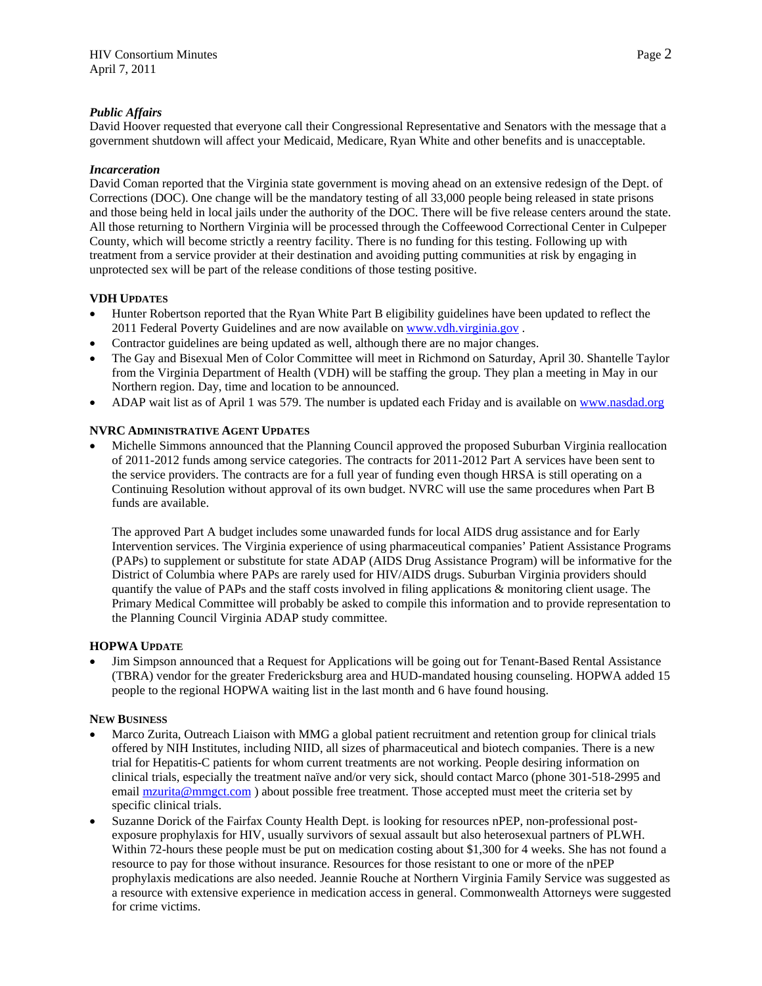# *Public Affairs*

David Hoover requested that everyone call their Congressional Representative and Senators with the message that a government shutdown will affect your Medicaid, Medicare, Ryan White and other benefits and is unacceptable.

## *Incarceration*

David Coman reported that the Virginia state government is moving ahead on an extensive redesign of the Dept. of Corrections (DOC). One change will be the mandatory testing of all 33,000 people being released in state prisons and those being held in local jails under the authority of the DOC. There will be five release centers around the state. All those returning to Northern Virginia will be processed through the Coffeewood Correctional Center in Culpeper County, which will become strictly a reentry facility. There is no funding for this testing. Following up with treatment from a service provider at their destination and avoiding putting communities at risk by engaging in unprotected sex will be part of the release conditions of those testing positive.

# **VDH UPDATES**

- Hunter Robertson reported that the Ryan White Part B eligibility guidelines have been updated to reflect the 2011 Federal Poverty Guidelines and are now available on [www.vdh.virginia.gov](http://www.vdh.virginia.gov/) .
- Contractor guidelines are being updated as well, although there are no major changes.
- The Gay and Bisexual Men of Color Committee will meet in Richmond on Saturday, April 30. Shantelle Taylor from the Virginia Department of Health (VDH) will be staffing the group. They plan a meeting in May in our Northern region. Day, time and location to be announced.
- ADAP wait list as of April 1 was 579. The number is updated each Friday and is available on www.nasdad.org

# **NVRC ADMINISTRATIVE AGENT UPDATES**

 Michelle Simmons announced that the Planning Council approved the proposed Suburban Virginia reallocation of 2011-2012 funds among service categories. The contracts for 2011-2012 Part A services have been sent to the service providers. The contracts are for a full year of funding even though HRSA is still operating on a Continuing Resolution without approval of its own budget. NVRC will use the same procedures when Part B funds are available.

The approved Part A budget includes some unawarded funds for local AIDS drug assistance and for Early Intervention services. The Virginia experience of using pharmaceutical companies' Patient Assistance Programs (PAPs) to supplement or substitute for state ADAP (AIDS Drug Assistance Program) will be informative for the District of Columbia where PAPs are rarely used for HIV/AIDS drugs. Suburban Virginia providers should quantify the value of PAPs and the staff costs involved in filing applications & monitoring client usage. The Primary Medical Committee will probably be asked to compile this information and to provide representation to the Planning Council Virginia ADAP study committee.

## **HOPWA UPDATE**

 Jim Simpson announced that a Request for Applications will be going out for Tenant-Based Rental Assistance (TBRA) vendor for the greater Fredericksburg area and HUD-mandated housing counseling. HOPWA added 15 people to the regional HOPWA waiting list in the last month and 6 have found housing.

## **NEW BUSINESS**

- Marco Zurita, Outreach Liaison with MMG a global patient recruitment and retention group for clinical trials offered by NIH Institutes, including NIID, all sizes of pharmaceutical and biotech companies. There is a new trial for Hepatitis-C patients for whom current treatments are not working. People desiring information on clinical trials, especially the treatment naïve and/or very sick, should contact Marco (phone 301-518-2995 and email mzurita@mmgct.com) about possible free treatment. Those accepted must meet the criteria set by specific clinical trials.
- Suzanne Dorick of the Fairfax County Health Dept. is looking for resources nPEP, non-professional postexposure prophylaxis for HIV, usually survivors of sexual assault but also heterosexual partners of PLWH. Within 72-hours these people must be put on medication costing about \$1,300 for 4 weeks. She has not found a resource to pay for those without insurance. Resources for those resistant to one or more of the nPEP prophylaxis medications are also needed. Jeannie Rouche at Northern Virginia Family Service was suggested as a resource with extensive experience in medication access in general. Commonwealth Attorneys were suggested for crime victims.